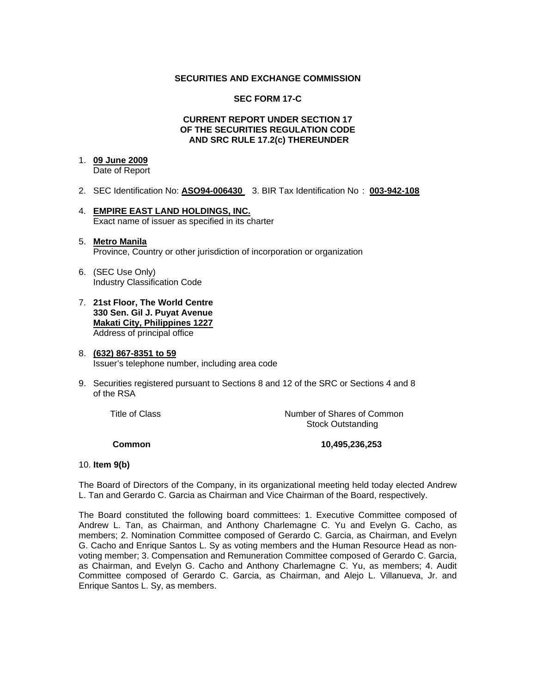## **SECURITIES AND EXCHANGE COMMISSION**

## **SEC FORM 17-C**

## **CURRENT REPORT UNDER SECTION 17 OF THE SECURITIES REGULATION CODE AND SRC RULE 17.2(c) THEREUNDER**

## 1. **09 June 2009**

Date of Report

- 2. SEC Identification No: **ASO94-006430** 3. BIR Tax Identification No : **003-942-108**
- 4. **EMPIRE EAST LAND HOLDINGS, INC.** Exact name of issuer as specified in its charter
- 5. **Metro Manila** Province, Country or other jurisdiction of incorporation or organization
- 6. (SEC Use Only) Industry Classification Code
- 7. **21st Floor, The World Centre 330 Sen. Gil J. Puyat Avenue Makati City, Philippines 1227** Address of principal office
- 8. **(632) 867-8351 to 59** Issuer's telephone number, including area code
- 9. Securities registered pursuant to Sections 8 and 12 of the SRC or Sections 4 and 8 of the RSA

 Title of ClassNumber of Shares of Common Stock Outstanding

 **Common 10,495,236,253** 

#### 10. **Item 9(b)**

The Board of Directors of the Company, in its organizational meeting held today elected Andrew L. Tan and Gerardo C. Garcia as Chairman and Vice Chairman of the Board, respectively.

The Board constituted the following board committees: 1. Executive Committee composed of Andrew L. Tan, as Chairman, and Anthony Charlemagne C. Yu and Evelyn G. Cacho, as members; 2. Nomination Committee composed of Gerardo C. Garcia, as Chairman, and Evelyn G. Cacho and Enrique Santos L. Sy as voting members and the Human Resource Head as nonvoting member; 3. Compensation and Remuneration Committee composed of Gerardo C. Garcia, as Chairman, and Evelyn G. Cacho and Anthony Charlemagne C. Yu, as members; 4. Audit Committee composed of Gerardo C. Garcia, as Chairman, and Alejo L. Villanueva, Jr. and Enrique Santos L. Sy, as members.